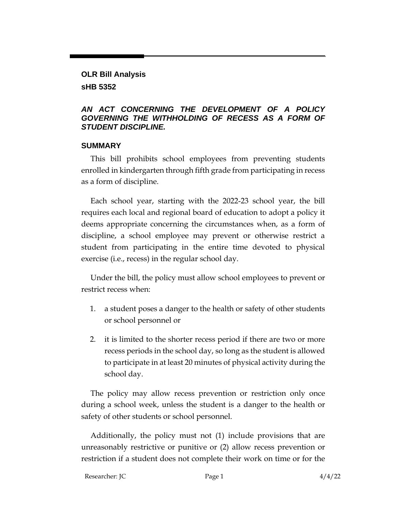## **OLR Bill Analysis sHB 5352**

## *AN ACT CONCERNING THE DEVELOPMENT OF A POLICY GOVERNING THE WITHHOLDING OF RECESS AS A FORM OF STUDENT DISCIPLINE.*

## **SUMMARY**

This bill prohibits school employees from preventing students enrolled in kindergarten through fifth grade from participating in recess as a form of discipline.

Each school year, starting with the 2022-23 school year, the bill requires each local and regional board of education to adopt a policy it deems appropriate concerning the circumstances when, as a form of discipline, a school employee may prevent or otherwise restrict a student from participating in the entire time devoted to physical exercise (i.e., recess) in the regular school day.

Under the bill, the policy must allow school employees to prevent or restrict recess when:

- 1. a student poses a danger to the health or safety of other students or school personnel or
- 2. it is limited to the shorter recess period if there are two or more recess periods in the school day, so long as the student is allowed to participate in at least 20 minutes of physical activity during the school day.

The policy may allow recess prevention or restriction only once during a school week, unless the student is a danger to the health or safety of other students or school personnel.

Additionally, the policy must not (1) include provisions that are unreasonably restrictive or punitive or (2) allow recess prevention or restriction if a student does not complete their work on time or for the